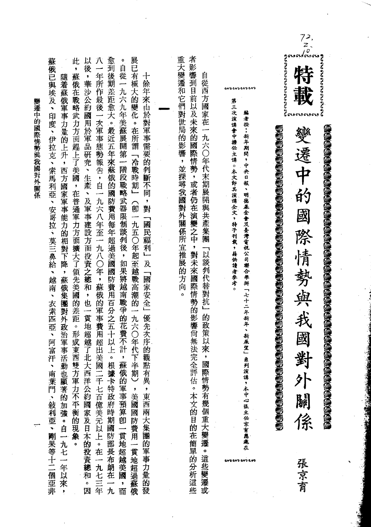|                 | 此                                                                                                                                                                                                                                                                                                                                         | $\circ$                                                                                                                                                         |                                                                                                                                                       |                                                                                                | $\overrightarrow{a}$<br>うちつとのとのとうとうとうと                                                                                                                                                                                                            |
|-----------------|-------------------------------------------------------------------------------------------------------------------------------------------------------------------------------------------------------------------------------------------------------------------------------------------------------------------------------------------|-----------------------------------------------------------------------------------------------------------------------------------------------------------------|-------------------------------------------------------------------------------------------------------------------------------------------------------|------------------------------------------------------------------------------------------------|---------------------------------------------------------------------------------------------------------------------------------------------------------------------------------------------------------------------------------------------------|
| 變遷中的國際情勢與我國對外關係 | 蘇俄已與埃及、印度、伊拉克、索馬利亞、安哥拉、莫三鼻給、越南、衣索匹亞、阿富汗<br>以後,華沙公約國用於軍品研究、生產、及軍事建設方面投資之總和,也一貫地超越了北大西洋公約國家及日本的投資總和。因<br>八一年所作最後一次軍事態勢報告,自一九六八年至一九八〇年,蘇俄的軍事費用超出美國二千七百億美元以上。在一九七三年<br>愈到後期差距愈大。最近五年來蘇俄的國防費用每年超過美國國防費用百分之五十以上。根據卡特政府時期國防部長布朗在一九<br>,蘇俄在戰略武力方面趕上了美國,在普通軍力方面擴大了領先美國的差距。形成東西雙方軍力不平衡的現象。<br>隨着蘇俄軍事力量的上升,西方國家軍事能力的相對下降,蘇俄集團對外政治軍事活動也顯著的加強。自一九七一年以來 | 展已有極大的變化。在所謂「冷戰時期」(卽一九五〇年起至越戰高潮的一九六〇年代下半期)<br>自從一九六九年美蘇展開第一階段戰略武器限制談判後,如果將越南戰爭的花費不計,蘇俄的軍事預算卽一貫地超越美國,而<br>十餘年來由於對軍事需要的判斷不同,對「國民福利」及「國家安全」優先次序的觀點有異,東西兩大集團的軍事力量的發 | 者影響到目前以及未來的國際情勢,或者仍在演變之中,對未來國際情勢的影響尚無法完全評估。本文的目的在簡單的分析這些<br>重大變遷和它們對世局的影響,並探尋我國對外關係所宜推展的方向。<br>自從西方國家在一九六〇年代末期展開與共產集團「以談判代替對抗」的政策以來,國際情勢有幾個重大變遷。這些變遷或 | 第三次演講會中擔任主講。本文卽其演講全文,特予刊載,藉供讀者參考<br>編者按:新年期間,中央日報、明德基金會及臺灣電視公司聯合舉辦「七十二年新年、新展望」衆列演講,本中心张主任京育應邀在 | a a compartidad a compartidad a compartidad a compartidad a compartidad a compartidad a compartidad a compartidad a compartidad a compartidad a compartidad a compartidad a compartidad a compartidad a compartidad a comparti<br>變遷中的國際情勢與我國對外關係 |
|                 |                                                                                                                                                                                                                                                                                                                                           |                                                                                                                                                                 |                                                                                                                                                       |                                                                                                |                                                                                                                                                                                                                                                   |
|                 |                                                                                                                                                                                                                                                                                                                                           |                                                                                                                                                                 |                                                                                                                                                       |                                                                                                |                                                                                                                                                                                                                                                   |
|                 |                                                                                                                                                                                                                                                                                                                                           |                                                                                                                                                                 |                                                                                                                                                       |                                                                                                |                                                                                                                                                                                                                                                   |
|                 | 南葉門、敍利亞、剛果等十二個亞非<br>$\bullet$                                                                                                                                                                                                                                                                                                             | ,美國國防費用一貫地超過蘇俄                                                                                                                                                  |                                                                                                                                                       |                                                                                                | 張京育                                                                                                                                                                                                                                               |
|                 |                                                                                                                                                                                                                                                                                                                                           |                                                                                                                                                                 |                                                                                                                                                       |                                                                                                |                                                                                                                                                                                                                                                   |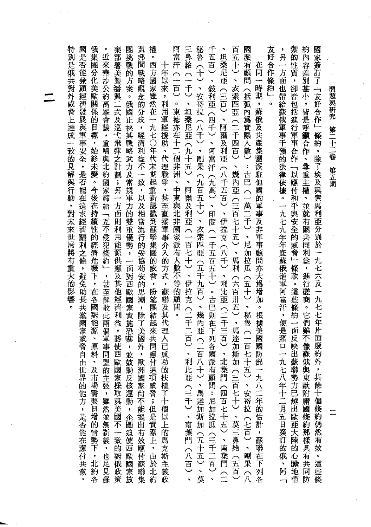| 派有顧問<br>在同<br>一時期<br>岳<br>弧內為實際人數)<br>: 古巴 (一萬二千)、尼加拉瓜<br>(五十)、秘魯<br>(一)<br>七十五<br>、安哥拉(七百)、剛果(八                                                                                                                                                                                                                                                                                                                                                                                                                                                                                                                                                                                                                                                                                                                                                                                                                                                                                                                                                                                                                                                                                                                                                                                                                                                                                                                                                                             | 倏<br>約<br>۰                                                                |
|------------------------------------------------------------------------------------------------------------------------------------------------------------------------------------------------------------------------------------------------------------------------------------------------------------------------------------------------------------------------------------------------------------------------------------------------------------------------------------------------------------------------------------------------------------------------------------------------------------------------------------------------------------------------------------------------------------------------------------------------------------------------------------------------------------------------------------------------------------------------------------------------------------------------------------------------------------------------------------------------------------------------------------------------------------------------------------------------------------------------------------------------------------------------------------------------------------------------------------------------------------------------------------------------------------------------------------------------------------------------------------------------------------------------------------------------------------------------------|----------------------------------------------------------------------------|
| <b>國是否能兼顧經濟發展與軍事安全,是否能在追求經濟福利之餘,避免助長共黨國家威脅自由世界</b><br>恢集團:<br>$\circ$<br>莱部署美製潘興二式及巡弋飛彈之計劃;另一方面則利用能源供應及其他經濟利益<br>圏挑戰的方案<br><b>盗邦間戰略觀</b><br>催<br>門富汗(一百)<br>三鼻給 (一<br><b><br/> <br/> <br/> <br/> <br/> <br/> </b><br><br><br><br><br><br><br><br><br><br><br><br><br><br><br>日<br>五百<br>近來華沙公約高峯會議,重唱與北約國家締結「互不侵犯條約」<br>坦桑尼亞(三百)、阿爾及利亞(八千五百)、伊拉克(八千)、利比亞(二千三百)<br>五十)、<br>o<br>西<br>$\boldsymbol{+}$<br>分化美歐關<br>方國<br>年以來<br>$\ddot{\phantom{0}}$<br>千)、坦桑尼亞(九十五)、<br>敍利亞(四千)、<br>家雖然在一<br>衣索匹亞<br>、安哥拉(八千)、剛果<br>念的分歧,經濟利益不一致,以及相當流行的妥協苟安的思潮<br>$\frac{1}{2}$<br>。俄國正挾其戰略武力及常規軍力的雙重優勢,一面對西歐國家實施恐嚇<br>利用軍經援助、代理戰爭,甚至直接軍事介入的方式<br>。東德亦在十二個非洲<br>係<br>的目標,始終未變。今後在持續性的經濟危<br>(二千四百)<br>九七〇年代末期起重新認識到蘇聯集團的威脅<br>阿富<br>汗<br>、幾內亞(三百七十五)、馬利<br>(九百五十)、衣索匹亞(五千九百)、幾內亞(二百八十)<br>(九萬)、印度<br>$\ddot{\phantom{1}}$<br>中東與北非國家派有人數不等的顧問<br>阿爾及利亞(一百七十)、伊拉克(二千二百)、利比亞<br>(一千五百五十)<br>機下,<br>, 甚至解散此<br>(六百卅五)、馬達加<br>,蘇聯及其代理人已成功的扶<br>$\bullet$<br>盼望團結起<br>。古巴則在下列各<br>在<br>各國<br>,除了美國外<br>無料!<br>$\circ$<br>兩<br> 來共同<br>源<br>個軍事同<br>$\bullet$<br>誘使<br>$\blacksquare$<br>原<br>$\bar{\pmb{y}}$<br>、<br>北<br>料<br>並鼓動反<br>國<br>斯加<br>應付這<br>西<br>,歐洲<br>歐國<br>派<br><b>盟的主</b><br>、及市<br>有顧<br>葉門<br>$\supseteq$<br>家<br>項<br>國<br>場需要日增的情勢下,<br>張,雖然並無新義<br>採取與美國<br>核運動,企圖迫使西歐國家放<br>家尚不能提出有效應付蘇聯集<br>威脅;但是實際上,由於北<br>植了十個以上的馬克斯主義政<br>問:尼加拉瓜(三千二百)、<br>(四百七十五)、南葉門 (二<br>的能力,<br>百七十)、莫三鼻給(五百)<br>、馬達加斯加(五十五)、莫<br>(三千)、南葉門(八百)、<br>是否能在應付共黨,<br>不一致的對俄政策<br>,也足見蘇<br>北約<br>約<br>各 | 図<br>,蘇俄及共產集團派駐他國的軍事及非軍事顧問亦大爲增加<br>。根據美國<br>國防部<br>一<br>九<br>八二年的估計,蘇聯在下列各 |
|                                                                                                                                                                                                                                                                                                                                                                                                                                                                                                                                                                                                                                                                                                                                                                                                                                                                                                                                                                                                                                                                                                                                                                                                                                                                                                                                                                                                                                                                              |                                                                            |
|                                                                                                                                                                                                                                                                                                                                                                                                                                                                                                                                                                                                                                                                                                                                                                                                                                                                                                                                                                                                                                                                                                                                                                                                                                                                                                                                                                                                                                                                              |                                                                            |
|                                                                                                                                                                                                                                                                                                                                                                                                                                                                                                                                                                                                                                                                                                                                                                                                                                                                                                                                                                                                                                                                                                                                                                                                                                                                                                                                                                                                                                                                              |                                                                            |
|                                                                                                                                                                                                                                                                                                                                                                                                                                                                                                                                                                                                                                                                                                                                                                                                                                                                                                                                                                                                                                                                                                                                                                                                                                                                                                                                                                                                                                                                              |                                                                            |
|                                                                                                                                                                                                                                                                                                                                                                                                                                                                                                                                                                                                                                                                                                                                                                                                                                                                                                                                                                                                                                                                                                                                                                                                                                                                                                                                                                                                                                                                              |                                                                            |
|                                                                                                                                                                                                                                                                                                                                                                                                                                                                                                                                                                                                                                                                                                                                                                                                                                                                                                                                                                                                                                                                                                                                                                                                                                                                                                                                                                                                                                                                              |                                                                            |
|                                                                                                                                                                                                                                                                                                                                                                                                                                                                                                                                                                                                                                                                                                                                                                                                                                                                                                                                                                                                                                                                                                                                                                                                                                                                                                                                                                                                                                                                              |                                                                            |
| 久好合作                                                                                                                                                                                                                                                                                                                                                                                                                                                                                                                                                                                                                                                                                                                                                                                                                                                                                                                                                                                                                                                                                                                                                                                                                                                                                                                                                                                                                                                                         |                                                                            |
| 舞的性質<br>另<br>一<br>方面<br>,卻皆包括進行軍事合作「以應付和平與安全的威脅」條款。這些條約一面反映出蘇聯勢<br>也帶給蘇俄軍事干預的法律依據。一九七九年年底蘇俄進軍阿富汗,便是藉口一九七八<br>年十二月五日簽訂的俄、阿 「<br>力已越出歐亞大陸的心臟地帶                                                                                                                                                                                                                                                                                                                                                                                                                                                                                                                                                                                                                                                                                                                                                                                                                                                                                                                                                                                                                                                                                                                                                                                                                                                                                                                                 |                                                                            |
| <b>和內容差別甚小,皆是呼籲合作、</b><br>幽家簽訂了 「友好合作」<br>條約<br>。除了埃及與索馬利亞分別於一九七六及一九七七年片面廢約外,其<br>尊重主權<br>、並就有關共同<br>利益<br>,進行磋商。它們<br>"雖不<br>像蘇俄與東<br>歐附庸國條約那樣具有共同防<br>餘十個條約仍然有效。這些條                                                                                                                                                                                                                                                                                                                                                                                                                                                                                                                                                                                                                                                                                                                                                                                                                                                                                                                                                                                                                                                                                                                                                                                                                                                                                                        |                                                                            |

 $\overline{a}$ 

u.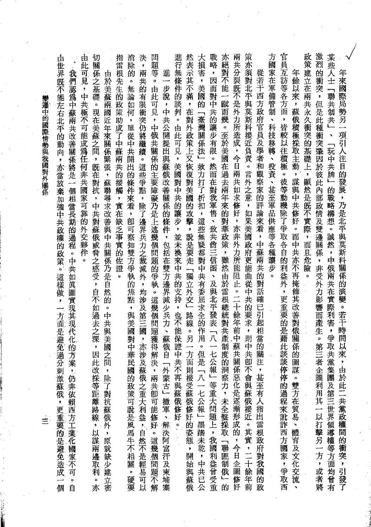| 變遷中的國際情勢與我國對外關係 | 由此可見,中共極不可能成為任何非共國家可靠的外交夥伴<br>切關<br>指<br>由<br>世界既不能左右北平的動向<br>雷根先生的<br>我們認為中蘇兩共改善關係將是一個相當長期的過程。中共如眞圖實現其現代化的方<br>係之基礎<br>申<br>「於美蘇」<br>。現在美蘇之間<br>政策助成了中蘇兩共的接觸<br>兩<br>國近<br>年來關係緊張,<br>, 旣在對抗<br>$\pmb{\cdot}$<br>亦當放棄加強中共政權的政策。<br>蘇聯尋求改善與中共關<br>,中共對蘇俄威脅之感受,自不如過去之深<br>,實在缺乏事實的佐證<br>係乃是自<br>$\circ$<br>這樣做<br>¢<br>然的<br>$\pmb{\cdot}$<br>$\mathbf{o}$<br>一方面是避免過<br>中<br>共與美國之<br>;<br>因 | 進行無條件的談判。由此可見,美國對中共的讓步,並未換來中共的支持,也不能保證中<br>消<br>間<br>決<br>-題等<br>除的<br>ł<br>兩<br>進<br>共的有限衝突仍將繼續<br>一步說<br>。無論<br>。由此<br>可見<br>如何<br>y.<br>中共公開提出與蘇俄改善關係的條件,包括在雙方邊界減少兵力、<br>,中俄共關係的主要障礙乃是上述幾個問題的爭執。這幾個問題獲得<br>, 單從中共開出的條件來看<br>。這些爭點<br>,<br>除<br>,卽可察知雙方爭執的焦點,與美國對中華<br>了邊界兵力之裁減外<br>,均涉及第三國<br>蘇俄自<br>一,亦涉 | 策亦須對北平與莫斯科接近負責。言外之意,如果美國政府更能曲從中共的要求<br>然表示其不滿,在對外政策上又恢復對美國的攻擊,說是要走「獨立外交」路線<br>大損害<br>戰略<br>亦絕對不能一<br>方國家在軍備管制<br>兩<br>共分裂既不是外力所造成,今日兩共如求修好,亦非外力所能阻止。二十餘年<br>$\bullet$<br>從若干西方政府官員及學者和觀察家的評論來看<br>因<br>,美國的<br>而對中共的讓步有限。<br>蹴<br>而幾。至於美國在過去兩年來的對華政策,雖然由於雷根總統對<br>「臺灣關係法」效力打了折扣,這些無疑都對中共有委屈求全的作用<br>、科技移轉、投資、甚至軍品供應等各種讓<br>然而在對我軍售、致共酋三信函<br>,中蘇兩共的對話確已引起相當的<br>步<br>、及與北平發表「八一七<br>$\ddot{\circ}$<br>前中蘇共<br>共產制度<br>。另一方<br>,則中共<br>。<br>但 | 官員互訪等各方面<br>政策建立在兩共永久衝突的基礎上,顯然是旣不實際,而且危險<br>激烈的衝突<br>某些人士 「<br>年餘以來,<br>年<br>來國際局勢另一<br>聯共制共」、「玩中共牌」的戰略構想。誠然,中俄兩共在實際利害,爭取共<br>,但是此種衝突肇因於彼此內部政情及雙邊關係<br>蘇<br>俄積極採取主動,謀與中共修好。而<br>,皆較以往積極<br>項引人注目的發展,乃是北平與莫斯科關係的演變。若干<br>$\overline{\phantom{a}}$<br>彼等動機除了爭取各自的利益外<br>中共亦不再掩飾其改善對俄關係的<br>,非受外力影響而產生。<br>$\circ$<br>,更重要的是藉此談<br>時間<br>第三<br>以來 |
|-----------------|----------------------------------------------------------------------------------------------------------------------------------------------------------------------------------------------------------------------------------------------------------------------------------------------------------------------------------------------------------------------------------------------|--------------------------------------------------------------------------------------------------------------------------------------------------------------------------------------------------------------------------------------------------------------------------------------------------------------|----------------------------------------------------------------------------------------------------------------------------------------------------------------------------------------------------------------------------------------------------------------------------------------------------------------------------------------------------------------------------------------------------------------------------------------------|------------------------------------------------------------------------------------------------------------------------------------------------------------------------------------------------------------------------------------------------------------------------------------------------------------------------------------------------|
| 亖               | 案,仍非依賴西方工業化國家不可。自<br>此改採等距離路線,以謀兩邊取利<br>間,除了對抗蘇俄外,原就缺少建立<br>分刺激蘇俄,更重要的是避免造成一個<br>。<br>亦<br>密                                                                                                                                                                                                                                                                                                 | 解<br>民國的政策可說是風馬牛不相關<br>及蘇俄之重大利益,自然不是輕易可以<br>決,兩共卽可能修好。這幾個問題不解<br>共不再與蘇俄修好。<br>外蒙古」撤軍、解決阿富汗及柬埔<br>。硬要<br>寨                                                                                                                                                                                                    | 關<br>面則接受蘇俄修好的姿態,開始與蘇俄<br>是「八一七公報」<br>公報」等重大問題上,我國利益曾受重<br>的洞察力,未全盤採取「聯匪制俄」<br>關係惡化是逐漸形成的,今日企圖修好<br>即不會與蘇俄接近。其實,二十餘年前<br>注,甚至有人指出雷根政府對我國的政<br>墨潘未乾,中共已公<br>的                                                                                                                                                                                                                                                                                 | 圖謀。雙方在貿易、體育及文化交流<br>者企圖利用其一以打擊另一方,或者將<br>黨集團及第三世界領導權等方面均曾有<br>談停停的過程來訛詐西方國家,爭取西<br>,由於此二共黨政權間的衝突,<br>引發了                                                                                                                                                                                                                                       |

 $\frac{1}{2}$ 

 $\mathcal{A}^{\mathcal{A}}$ 

 $\frac{1}{2}$ 

 $\frac{1}{2}$ 

**秦還中的國際情勢與我國對外關係** 

 $\mathcal{L}_{\mathcal{A}}$ 

**Contract Contract Contract Contract Contract Contract Contract Contract Contract Contract Contract Contract Contract Contract Contract Contract Contract Contract Contract Contract Contract Contract Contract Contract Contr**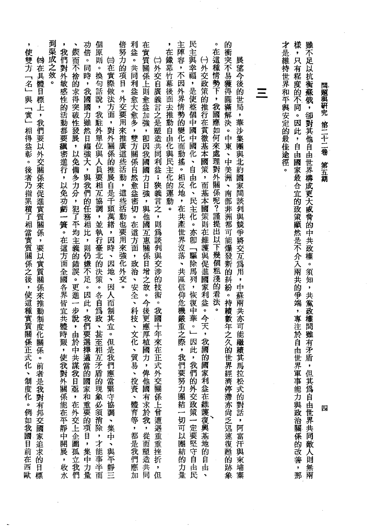| 到渠成之效<br>倍努力的項目。外交要用來推廣這些活動,這些活動也要用來強化外交。<br>利益。共同利益愈大愈多,雙方關係自然愈益密切。在這方面,政治、安全、科技、文化、貿易<br>個<br>功倍。同時,我國國力雖然日趨強大,與我們的任務相比,則仍嫌不足。因此,我們要選擇適當的國家和重要的項目,集中力量<br>在實質關係上則愈益加強,卽因我國國力日強,與他國互惠關係日增之故。今後更應厚植國力,俾他國有求於我,從而塑造共同<br>,<br>٠<br>,<br>鍥而<br>我們對外敏感性的活動都要縝密進行,以免功虧一簣。在這方面全國各界皆宜共體時艱,使我對外關係能在平靜中開展<br>使雙方「名」與「實」相得益彰。後者乃指累積了相當實質關係之後,使這種實質關係正式化<br>原則。換句話說,我駐外單位與人員要相互協調,並執行臺北的決策。各自為政、甚至相互矛盾的現象必須消除,才能事半而<br>□外交自廣義言之是塑造共同利益;狹義言之,則爲談判與交涉的技術。我國十年來在正式外交關係上曾遭遇重重挫折<br><b>妈在具體目標上,我們要以外交關係來促進實質關係,要以實質關係來推動制度化關係。前者是我對有邦交國家追求的目標</b><br>(1)在實際做法方面,對外關係的推展自是千頭萬緒,因時、因地、因人而制其宜。但是我們應當緊守協調、集中、與平靜三<br>不捨的求得突破性發展,以免備多力分,犯了平均主義的錯誤。更進一步說,由於中共謀我日亟,在外交上企圖<br>۰<br>投資、體育等,都是我們應加<br>制度化。<br>例如我國目前在西歐<br>孤立我們<br>(,收水<br>,<br>但 | 民主與幸福,是使整個中國中國化、自由化、民主化。亦卽「驅除馬列,恢復中華。」因此,我們的外交政策一定要堅守自由民<br>主陣容,不因外界情勢的變化而動搖。相反地,在共產世界沒落、共區信仰危機嚴重之際,我們要努力團結一切可以團結的力量<br>樣,只有程度的不同。因此,自由國家最合宜的政策顯然是不介入兩共的爭端,專注於自由世界軍事能力與政治關係的改善<br>的衝突不易獲得圓滿解決。中東、中美洲、南部非洲都可能爆發新的糾紛。持續數年之久的世界經濟停滯亦尚乏辺速復甦的跡象<br>才是維持世界和平與安定的最佳途徑。<br>o<br>,<br>在鐵幕竹幕後面去推動自由化與民主化的運動。<br>在這種情勢下,我國應如何來處理對外關係呢?謹提出以下幾個粗淺的看法<br>⑴外交政策的推行在貫徹基本國策,而基本國策則在維護與促進國家利益。今天<br>展望今後的世局,華沙集團與北約國家間談判與競爭將交互為用,中蘇兩共亦可能繼續其馬拉松式的對話,阿富汗與柬埔<br>$\equiv$<br>$\bullet$<br>,我國的國家利益在維護復興基地的自由<br>,<br>那<br>寨<br>$\hat{\mathbf{v}}$ | 雖不足以抗衡蘇俄,卻對其他自由世界構成更大威脅的中共政權。須知,共黨政權間雖有矛盾<br>問題與研究<br>第二十二卷<br>第五<br>期<br>Ç<br>但其爲自由世界共同<br>四<br>一敵人則<br>無兩 |
|--------------------------------------------------------------------------------------------------------------------------------------------------------------------------------------------------------------------------------------------------------------------------------------------------------------------------------------------------------------------------------------------------------------------------------------------------------------------------------------------------------------------------------------------------------------------------------------------------------------------------------------------------------------------------------------------------------------------------|-----------------------------------------------------------------------------------------------------------------------------------------------------------------------------------------------------------------------------------------------------------------------------------------------------------------------------------------------------------------------------------------------------------------------------------------------------------------------------------------------------------------------------|-------------------------------------------------------------------------------------------------------------|
|--------------------------------------------------------------------------------------------------------------------------------------------------------------------------------------------------------------------------------------------------------------------------------------------------------------------------------------------------------------------------------------------------------------------------------------------------------------------------------------------------------------------------------------------------------------------------------------------------------------------------------------------------------------------------------------------------------------------------|-----------------------------------------------------------------------------------------------------------------------------------------------------------------------------------------------------------------------------------------------------------------------------------------------------------------------------------------------------------------------------------------------------------------------------------------------------------------------------------------------------------------------------|-------------------------------------------------------------------------------------------------------------|

 $\frac{1}{2}$ 

 $\ddot{\phantom{0}}$ 

 $\mathcal{L}_{\mathcal{A}}$ 

 $\label{eq:2.1} \frac{1}{\sqrt{2}}\sum_{i=1}^n\frac{1}{\sqrt{2\pi}}\sum_{i=1}^n\frac{1}{\sqrt{2\pi}}\sum_{i=1}^n\frac{1}{\sqrt{2\pi}}\sum_{i=1}^n\frac{1}{\sqrt{2\pi}}\sum_{i=1}^n\frac{1}{\sqrt{2\pi}}\sum_{i=1}^n\frac{1}{\sqrt{2\pi}}\sum_{i=1}^n\frac{1}{\sqrt{2\pi}}\sum_{i=1}^n\frac{1}{\sqrt{2\pi}}\sum_{i=1}^n\frac{1}{\sqrt{2\pi}}\sum_{i=1}^n\frac{$